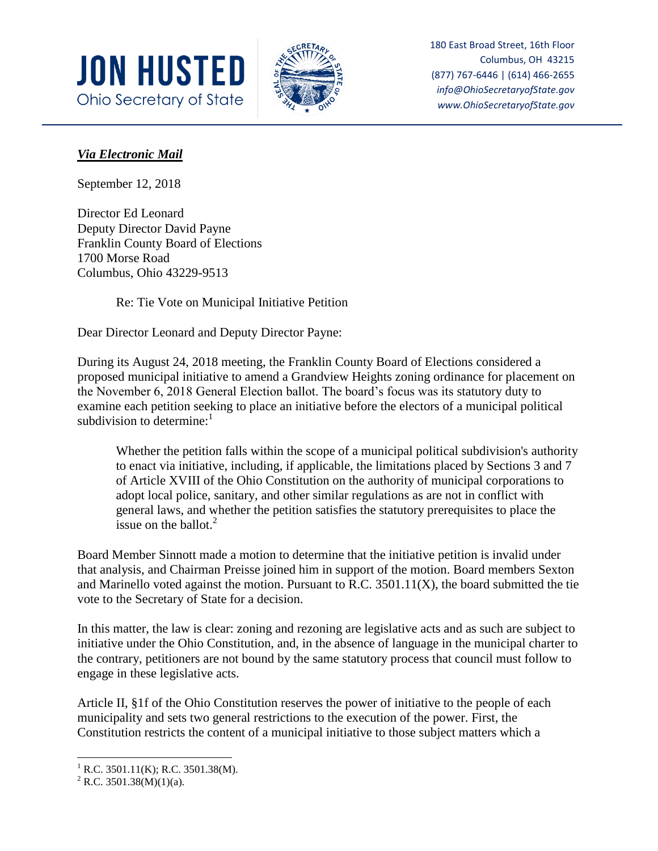



180 East Broad Street, 16th Floor Columbus, OH 43215 (877) 767-6446 | (614) 466-2655 *info@OhioSecretaryofState.gov www.OhioSecretaryofState.gov*

## *Via Electronic Mail*

September 12, 2018

Director Ed Leonard Deputy Director David Payne Franklin County Board of Elections 1700 Morse Road Columbus, Ohio 43229-9513

Re: Tie Vote on Municipal Initiative Petition

Dear Director Leonard and Deputy Director Payne:

During its August 24, 2018 meeting, the Franklin County Board of Elections considered a proposed municipal initiative to amend a Grandview Heights zoning ordinance for placement on the November 6, 2018 General Election ballot. The board's focus was its statutory duty to examine each petition seeking to place an initiative before the electors of a municipal political subdivision to determine: $<sup>1</sup>$ </sup>

Whether the petition falls within the scope of a municipal political subdivision's authority to enact via initiative, including, if applicable, the limitations placed by Sections 3 and 7 of Article XVIII of the Ohio Constitution on the authority of municipal corporations to adopt local police, sanitary, and other similar regulations as are not in conflict with general laws, and whether the petition satisfies the statutory prerequisites to place the issue on the ballot. $2^2$ 

Board Member Sinnott made a motion to determine that the initiative petition is invalid under that analysis, and Chairman Preisse joined him in support of the motion. Board members Sexton and Marinello voted against the motion. Pursuant to R.C. 3501.11(X), the board submitted the tie vote to the Secretary of State for a decision.

In this matter, the law is clear: zoning and rezoning are legislative acts and as such are subject to initiative under the Ohio Constitution, and, in the absence of language in the municipal charter to the contrary, petitioners are not bound by the same statutory process that council must follow to engage in these legislative acts.

Article II, §1f of the Ohio Constitution reserves the power of initiative to the people of each municipality and sets two general restrictions to the execution of the power. First, the Constitution restricts the content of a municipal initiative to those subject matters which a

 $\overline{a}$ 

 $1$  R.C. 3501.11(K); R.C. 3501.38(M).

<sup>&</sup>lt;sup>2</sup> R.C. 3501.38(M)(1)(a).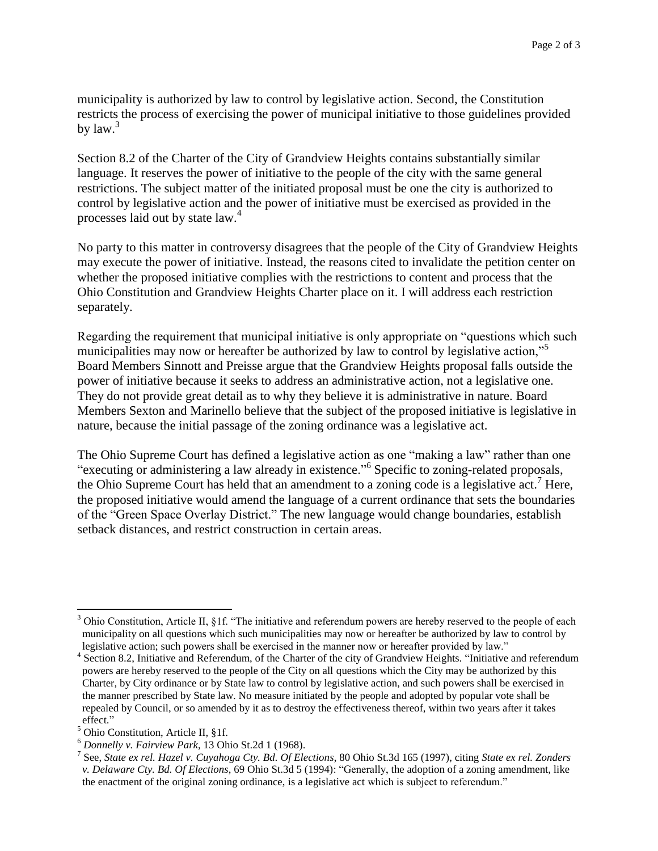municipality is authorized by law to control by legislative action. Second, the Constitution restricts the process of exercising the power of municipal initiative to those guidelines provided by  $law.<sup>3</sup>$ 

Section 8.2 of the Charter of the City of Grandview Heights contains substantially similar language. It reserves the power of initiative to the people of the city with the same general restrictions. The subject matter of the initiated proposal must be one the city is authorized to control by legislative action and the power of initiative must be exercised as provided in the processes laid out by state law.<sup>4</sup>

No party to this matter in controversy disagrees that the people of the City of Grandview Heights may execute the power of initiative. Instead, the reasons cited to invalidate the petition center on whether the proposed initiative complies with the restrictions to content and process that the Ohio Constitution and Grandview Heights Charter place on it. I will address each restriction separately.

Regarding the requirement that municipal initiative is only appropriate on "questions which such municipalities may now or hereafter be authorized by law to control by legislative action,"<sup>5</sup> Board Members Sinnott and Preisse argue that the Grandview Heights proposal falls outside the power of initiative because it seeks to address an administrative action, not a legislative one. They do not provide great detail as to why they believe it is administrative in nature. Board Members Sexton and Marinello believe that the subject of the proposed initiative is legislative in nature, because the initial passage of the zoning ordinance was a legislative act.

The Ohio Supreme Court has defined a legislative action as one "making a law" rather than one "executing or administering a law already in existence."<sup>6</sup> Specific to zoning-related proposals, the Ohio Supreme Court has held that an amendment to a zoning code is a legislative  $act.^7$  Here, the proposed initiative would amend the language of a current ordinance that sets the boundaries of the "Green Space Overlay District." The new language would change boundaries, establish setback distances, and restrict construction in certain areas.

 $\overline{\phantom{a}}$ 

 $3$  Ohio Constitution, Article II,  $$1f$ . "The initiative and referendum powers are hereby reserved to the people of each municipality on all questions which such municipalities may now or hereafter be authorized by law to control by legislative action; such powers shall be exercised in the manner now or hereafter provided by law."

<sup>&</sup>lt;sup>4</sup> Section 8.2, Initiative and Referendum, of the Charter of the city of Grandview Heights. "Initiative and referendum powers are hereby reserved to the people of the City on all questions which the City may be authorized by this Charter, by City ordinance or by State law to control by legislative action, and such powers shall be exercised in the manner prescribed by State law. No measure initiated by the people and adopted by popular vote shall be repealed by Council, or so amended by it as to destroy the effectiveness thereof, within two years after it takes effect."

<sup>&</sup>lt;sup>5</sup> Ohio Constitution, Article II, §1f.

<sup>6</sup> *Donnelly v. Fairview Park*, 13 Ohio St.2d 1 (1968).

<sup>7</sup> See, *State ex rel. Hazel v. Cuyahoga Cty. Bd. Of Elections*, 80 Ohio St.3d 165 (1997), citing *State ex rel. Zonders v. Delaware Cty. Bd. Of Elections*, 69 Ohio St.3d 5 (1994): "Generally, the adoption of a zoning amendment, like the enactment of the original zoning ordinance, is a legislative act which is subject to referendum."